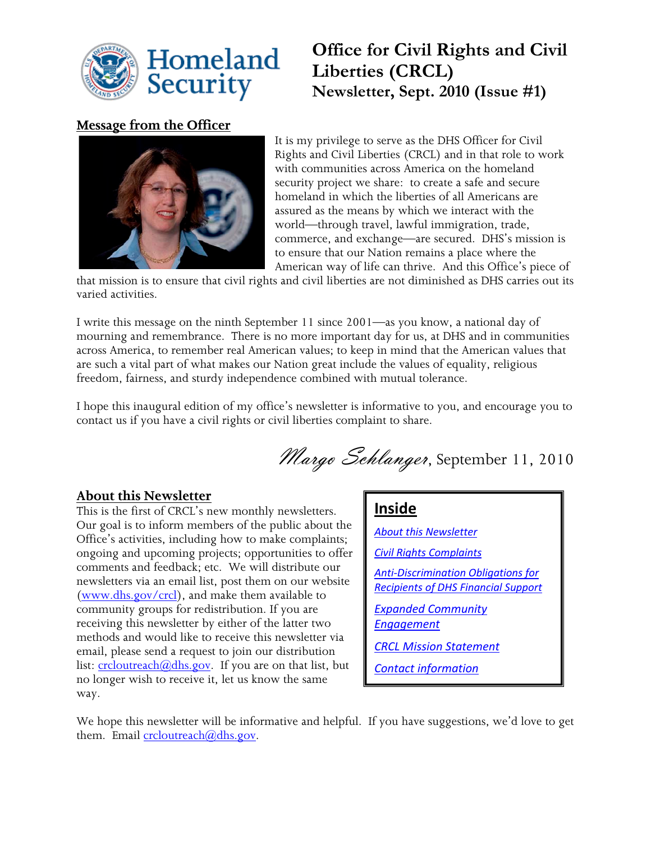

# **Office for Civil Rights and Civil Liberties (CRCL) Newsletter, Sept. 2010 (Issue #1)**

## **Message from the Officer**



It is my privilege to serve as the DHS Officer for Civil Rights and Civil Liberties (CRCL) and in that role to work with communities across America on the homeland security project we share: to create a safe and secure homeland in which the liberties of all Americans are assured as the means by which we interact with the world—through travel, lawful immigration, trade, commerce, and exchange—are secured. DHS's mission is to ensure that our Nation remains a place where the American way of life can thrive. And this Office's piece of

that mission is to ensure that civil rights and civil liberties are not diminished as DHS carries out its varied activities.

I write this message on the ninth September 11 since 2001—as you know, a national day of mourning and remembrance. There is no more important day for us, at DHS and in communities across America, to remember real American values; to keep in mind that the American values that are such a vital part of what makes our Nation great include the values of equality, religious freedom, fairness, and sturdy independence combined with mutual tolerance.

I hope this inaugural edition of my office's newsletter is informative to you, and encourage you to contact us if you have a civil rights or civil liberties complaint to share.

Margo Schlanger, September 11, 2010

## <span id="page-0-0"></span>**About this Newsletter**

This is the first of CRCL's new monthly newsletters. Our goal is to inform members of the public about the Office's activities, including how to make complaints; ongoing and upcoming projects; opportunities to offer comments and feedback; etc. We will distribute our newsletters via an email list, post them on our website [\(www.dhs.gov/crcl\)](http://www.dhs.gov/crcl), and make them available to community groups for redistribution. If you are receiving this newsletter by either of the latter two methods and would like to receive this newsletter via email, please send a request to join our distribution list: [crcloutreach@dhs.gov.](mailto:crcloutreach@dhs.gov) If you are on that list, but no longer wish to receive it, let us know the same way.

## **Inside**

*[About this Newsletter](#page-0-0) [Civil Rights Complaints](#page-1-0) [Anti-Discrimination Obligations for](#page-1-1)  [Recipients of DHS Financial Support](#page-1-1) [Expanded Community](#page-1-2)  [Engagement](#page-1-2) [CRCL Mission Statement](#page-2-0) [Contact information](#page-2-1)*

We hope this newsletter will be informative and helpful. If you have suggestions, we'd love to get them. Email  $\operatorname{crloutreach}(a)$ dhs.gov.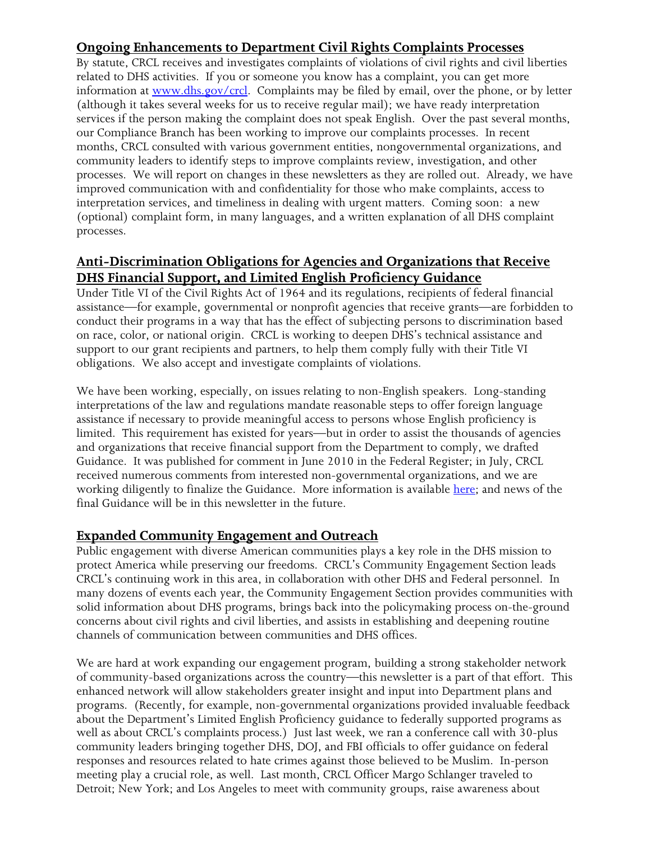## <span id="page-1-0"></span>**Ongoing Enhancements to Department Civil Rights Complaints Processes**

By statute, CRCL receives and investigates complaints of violations of civil rights and civil liberties related to DHS activities. If you or someone you know has a complaint, you can get more information at [www.dhs.gov/crcl.](http://www.dhs.gov/crcl) Complaints may be filed by email, over the phone, or by letter (although it takes several weeks for us to receive regular mail); we have ready interpretation services if the person making the complaint does not speak English. Over the past several months, our Compliance Branch has been working to improve our complaints processes. In recent months, CRCL consulted with various government entities, nongovernmental organizations, and community leaders to identify steps to improve complaints review, investigation, and other processes. We will report on changes in these newsletters as they are rolled out. Already, we have improved communication with and confidentiality for those who make complaints, access to interpretation services, and timeliness in dealing with urgent matters. Coming soon: a new (optional) complaint form, in many languages, and a written explanation of all DHS complaint processes.

### <span id="page-1-1"></span>**Anti-Discrimination Obligations for Agencies and Organizations that Receive DHS Financial Support, and Limited English Proficiency Guidance**

Under Title VI of the Civil Rights Act of 1964 and its regulations, recipients of federal financial assistance—for example, governmental or nonprofit agencies that receive grants—are forbidden to conduct their programs in a way that has the effect of subjecting persons to discrimination based on race, color, or national origin. CRCL is working to deepen DHS's technical assistance and support to our grant recipients and partners, to help them comply fully with their Title VI obligations. We also accept and investigate complaints of violations.

We have been working, especially, on issues relating to non-English speakers. Long-standing interpretations of the law and regulations mandate reasonable steps to offer foreign language assistance if necessary to provide meaningful access to persons whose English proficiency is limited. This requirement has existed for years—but in order to assist the thousands of agencies and organizations that receive financial support from the Department to comply, we drafted Guidance. It was published for comment in June 2010 in the Federal Register; in July, CRCL received numerous comments from interested non-governmental organizations, and we are working diligently to finalize the Guidance. More information is available [here;](http://www.dhs.gov/xabout/laws/gc_1277301604814.shtm) and news of the final Guidance will be in this newsletter in the future.

#### <span id="page-1-2"></span>**Expanded Community Engagement and Outreach**

Public engagement with diverse American communities plays a key role in the DHS mission to protect America while preserving our freedoms. CRCL's Community Engagement Section leads CRCL's continuing work in this area, in collaboration with other DHS and Federal personnel. In many dozens of events each year, the Community Engagement Section provides communities with solid information about DHS programs, brings back into the policymaking process on-the-ground concerns about civil rights and civil liberties, and assists in establishing and deepening routine channels of communication between communities and DHS offices.

We are hard at work expanding our engagement program, building a strong stakeholder network of community-based organizations across the country—this newsletter is a part of that effort. This enhanced network will allow stakeholders greater insight and input into Department plans and programs. (Recently, for example, non-governmental organizations provided invaluable feedback about the Department's Limited English Proficiency guidance to federally supported programs as well as about CRCL's complaints process.) Just last week, we ran a conference call with 30-plus community leaders bringing together DHS, DOJ, and FBI officials to offer guidance on federal responses and resources related to hate crimes against those believed to be Muslim. In-person meeting play a crucial role, as well. Last month, CRCL Officer Margo Schlanger traveled to Detroit; New York; and Los Angeles to meet with community groups, raise awareness about